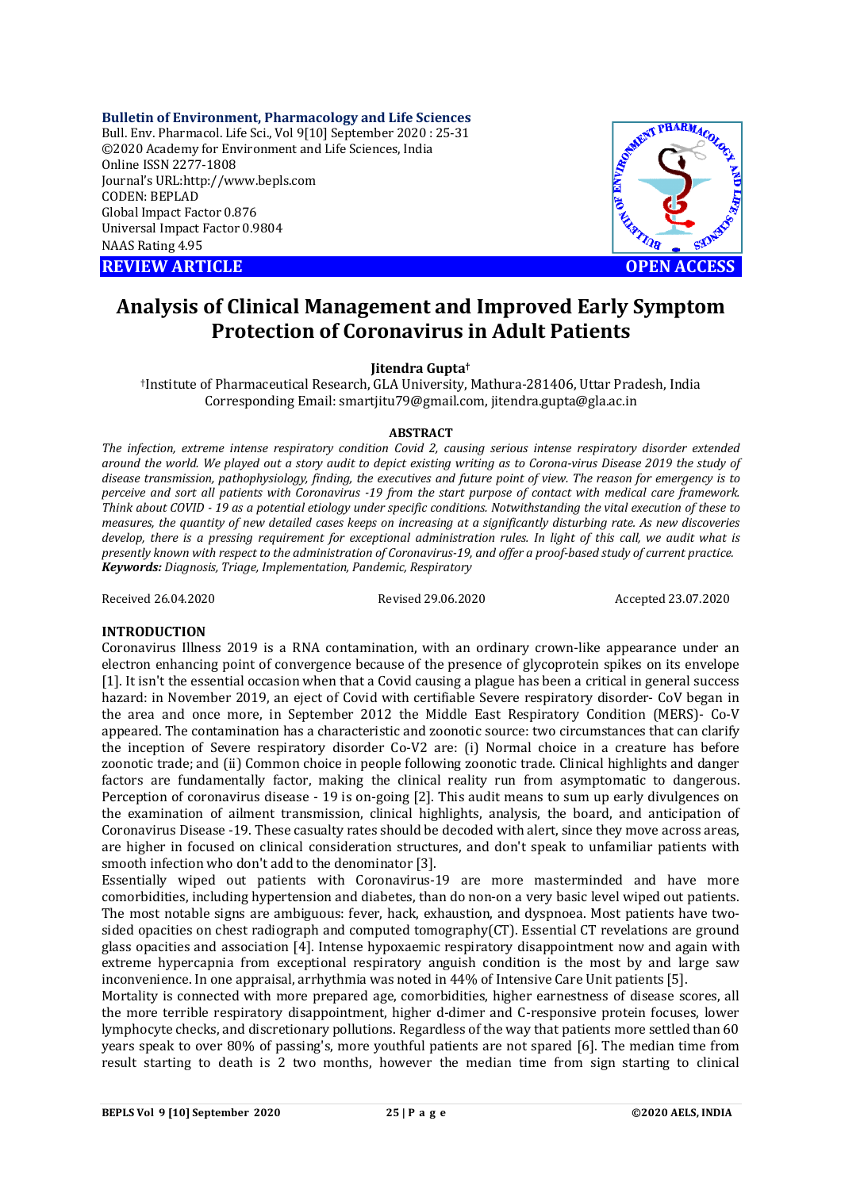**Bulletin of Environment, Pharmacology and Life Sciences** Bull. Env. Pharmacol. Life Sci., Vol 9[10] September 2020 : 25-31 ©2020 Academy for Environment and Life Sciences, India Online ISSN 2277-1808 Journal's URL:<http://www.bepls.com> CODEN: BEPLAD Global Impact Factor 0.876 Universal Impact Factor 0.9804 NAAS Rating 4.95

**REVIEW ARTICLE CONSUMING A REVIEW ARTICLE** 



# **Analysis of Clinical Management and Improved Early Symptom Protection of Coronavirus in Adult Patients**

**Jitendra Gupta†**

†Institute of Pharmaceutical Research, GLA University, Mathura-281406, Uttar Pradesh, India Corresponding Email: [smartjitu79@gmail.com,](mailto:smartjitu79@gmail.com,) [jitendra.gupta@gla.ac.in](mailto:jitendra.gupta@gla.ac.in)

#### **ABSTRACT**

*The infection, extreme intense respiratory condition Covid 2, causing serious intense respiratory disorder extended around the world. We played out a story audit to depict existing writing as to Corona-virus Disease 2019 the study of disease transmission, pathophysiology, finding, the executives and future point of view. The reason for emergency is to perceive and sort all patients with Coronavirus -19 from the start purpose of contact with medical care framework. Think about COVID - 19 as a potential etiology under specific conditions. Notwithstanding the vital execution of these to measures, the quantity of new detailed cases keeps on increasing at a significantly disturbing rate. As new discoveries develop, there is a pressing requirement for exceptional administration rules. In light of this call, we audit what is presently known with respect to the administration of Coronavirus-19, and offer a proof-based study of current practice. Keywords: Diagnosis, Triage, Implementation, Pandemic, Respiratory*

Received 26.04.2020 Revised 29.06.2020 Accepted 23.07.2020

#### **INTRODUCTION**

Coronavirus Illness 2019 is a RNA contamination, with an ordinary crown-like appearance under an electron enhancing point of convergence because of the presence of glycoprotein spikes on its envelope [1]. It isn't the essential occasion when that a Covid causing a plague has been a critical in general success hazard: in November 2019, an eject of Covid with certifiable Severe respiratory disorder- CoV began in the area and once more, in September 2012 the Middle East Respiratory Condition (MERS)- Co-V appeared. The contamination has a characteristic and zoonotic source: two circumstances that can clarify the inception of Severe respiratory disorder Co-V2 are: (i) Normal choice in a creature has before zoonotic trade; and (ii) Common choice in people following zoonotic trade. Clinical highlights and danger factors are fundamentally factor, making the clinical reality run from asymptomatic to dangerous. Perception of coronavirus disease - 19 is on-going [2]. This audit means to sum up early divulgences on the examination of ailment transmission, clinical highlights, analysis, the board, and anticipation of Coronavirus Disease -19. These casualty rates should be decoded with alert, since they move across areas, are higher in focused on clinical consideration structures, and don't speak to unfamiliar patients with smooth infection who don't add to the denominator [3].

Essentially wiped out patients with Coronavirus-19 are more masterminded and have more comorbidities, including hypertension and diabetes, than do non-on a very basic level wiped out patients. The most notable signs are ambiguous: fever, hack, exhaustion, and dyspnoea. Most patients have twosided opacities on chest radiograph and computed tomography(CT). Essential CT revelations are ground glass opacities and association [4]. Intense hypoxaemic respiratory disappointment now and again with extreme hypercapnia from exceptional respiratory anguish condition is the most by and large saw inconvenience. In one appraisal, arrhythmia was noted in 44% of Intensive Care Unit patients [5].

Mortality is connected with more prepared age, comorbidities, higher earnestness of disease scores, all the more terrible respiratory disappointment, higher d-dimer and C-responsive protein focuses, lower lymphocyte checks, and discretionary pollutions. Regardless of the way that patients more settled than 60 years speak to over 80% of passing's, more youthful patients are not spared [6]. The median time from result starting to death is 2 two months, however the median time from sign starting to clinical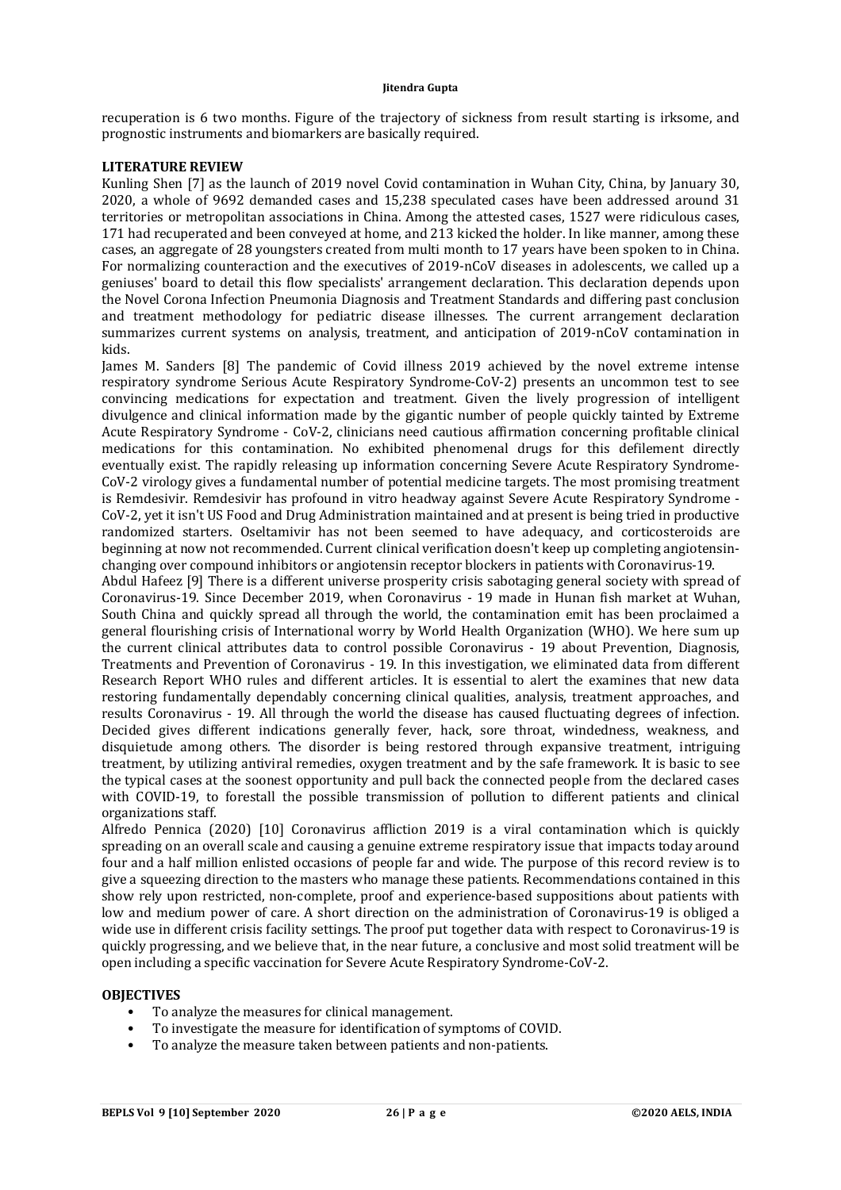recuperation is 6 two months. Figure of the trajectory of sickness from result starting is irksome, and prognostic instruments and biomarkers are basically required.

## **LITERATURE REVIEW**

Kunling Shen [7] as the launch of 2019 novel Covid contamination in Wuhan City, China, by January 30, 2020, a whole of 9692 demanded cases and 15,238 speculated cases have been addressed around 31 territories or metropolitan associations in China. Among the attested cases, 1527 were ridiculous cases, 171 had recuperated and been conveyed at home, and 213 kicked the holder. In like manner, among these cases, an aggregate of 28 youngsters created from multi month to 17 years have been spoken to in China. For normalizing counteraction and the executives of 2019-nCoV diseases in adolescents, we called up a geniuses' board to detail this flow specialists' arrangement declaration. This declaration depends upon the Novel Corona Infection Pneumonia Diagnosis and Treatment Standards and differing past conclusion and treatment methodology for pediatric disease illnesses. The current arrangement declaration summarizes current systems on analysis, treatment, and anticipation of 2019-nCoV contamination in kids.

James M. Sanders [8] The pandemic of Covid illness 2019 achieved by the novel extreme intense respiratory syndrome Serious Acute Respiratory Syndrome-CoV-2) presents an uncommon test to see convincing medications for expectation and treatment. Given the lively progression of intelligent divulgence and clinical information made by the gigantic number of people quickly tainted by Extreme Acute Respiratory Syndrome - CoV-2, clinicians need cautious affirmation concerning profitable clinical medications for this contamination. No exhibited phenomenal drugs for this defilement directly eventually exist. The rapidly releasing up information concerning Severe Acute Respiratory Syndrome-CoV-2 virology gives a fundamental number of potential medicine targets. The most promising treatment is Remdesivir. Remdesivir has profound in vitro headway against Severe Acute Respiratory Syndrome - CoV-2, yet it isn't US Food and Drug Administration maintained and at present is being tried in productive randomized starters. Oseltamivir has not been seemed to have adequacy, and corticosteroids are beginning at now not recommended. Current clinical verification doesn't keep up completing angiotensinchanging over compound inhibitors or angiotensin receptor blockers in patients with Coronavirus-19.

Abdul Hafeez [9] There is a different universe prosperity crisis sabotaging general society with spread of Coronavirus-19. Since December 2019, when Coronavirus - 19 made in Hunan fish market at Wuhan, South China and quickly spread all through the world, the contamination emit has been proclaimed a general flourishing crisis of International worry by World Health Organization (WHO). We here sum up the current clinical attributes data to control possible Coronavirus - 19 about Prevention, Diagnosis, Treatments and Prevention of Coronavirus - 19. In this investigation, we eliminated data from different Research Report WHO rules and different articles. It is essential to alert the examines that new data restoring fundamentally dependably concerning clinical qualities, analysis, treatment approaches, and results Coronavirus - 19. All through the world the disease has caused fluctuating degrees of infection. Decided gives different indications generally fever, hack, sore throat, windedness, weakness, and disquietude among others. The disorder is being restored through expansive treatment, intriguing treatment, by utilizing antiviral remedies, oxygen treatment and by the safe framework. It is basic to see the typical cases at the soonest opportunity and pull back the connected people from the declared cases with COVID-19, to forestall the possible transmission of pollution to different patients and clinical organizations staff.

Alfredo Pennica (2020) [10] Coronavirus affliction 2019 is a viral contamination which is quickly spreading on an overall scale and causing a genuine extreme respiratory issue that impacts today around four and a half million enlisted occasions of people far and wide. The purpose of this record review is to give a squeezing direction to the masters who manage these patients. Recommendations contained in this show rely upon restricted, non-complete, proof and experience-based suppositions about patients with low and medium power of care. A short direction on the administration of Coronavirus-19 is obliged a wide use in different crisis facility settings. The proof put together data with respect to Coronavirus-19 is quickly progressing, and we believe that, in the near future, a conclusive and most solid treatment will be open including a specific vaccination for Severe Acute Respiratory Syndrome-CoV-2.

#### **OBJECTIVES**

- To analyze the measures for clinical management.
- To investigate the measure for identification of symptoms of COVID.
- To analyze the measure taken between patients and non-patients.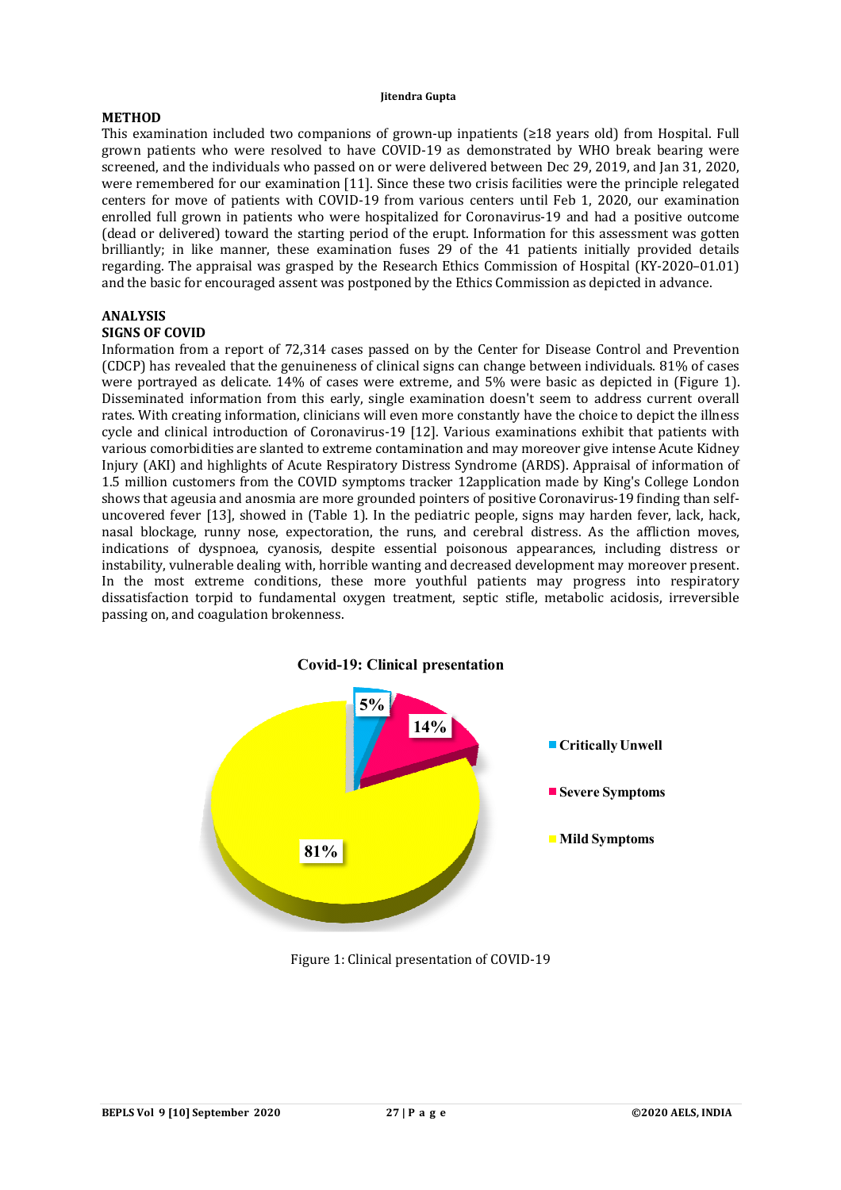# **METHOD**

This examination included two companions of grown-up inpatients (≥18 years old) from Hospital. Full grown patients who were resolved to have COVID-19 as demonstrated by WHO break bearing were screened, and the individuals who passed on or were delivered between Dec 29, 2019, and Jan 31, 2020, were remembered for our examination [11]. Since these two crisis facilities were the principle relegated centers for move of patients with COVID-19 from various centers until Feb 1, 2020, our examination enrolled full grown in patients who were hospitalized for Coronavirus-19 and had a positive outcome (dead or delivered) toward the starting period of the erupt. Information for this assessment was gotten brilliantly; in like manner, these examination fuses 29 of the 41 patients initially provided details regarding. The appraisal was grasped by the Research Ethics Commission of Hospital (KY-2020–01.01) and the basic for encouraged assent was postponed by the Ethics Commission as depicted in advance.

# **ANALYSIS**

# **SIGNS OF COVID**

Information from a report of 72,314 cases passed on by the Center for Disease Control and Prevention (CDCP) has revealed that the genuineness of clinical signs can change between individuals. 81% of cases were portrayed as delicate. 14% of cases were extreme, and 5% were basic as depicted in (Figure 1). Disseminated information from this early, single examination doesn't seem to address current overall rates. With creating information, clinicians will even more constantly have the choice to depict the illness cycle and clinical introduction of Coronavirus-19 [12]. Various examinations exhibit that patients with various comorbidities are slanted to extreme contamination and may moreover give intense Acute Kidney Injury (AKI) and highlights of Acute Respiratory Distress Syndrome (ARDS). Appraisal of information of 1.5 million customers from the COVID symptoms tracker 12application made by King's College London shows that ageusia and anosmia are more grounded pointers of positive Coronavirus-19 finding than selfuncovered fever [13], showed in (Table 1). In the pediatric people, signs may harden fever, lack, hack, nasal blockage, runny nose, expectoration, the runs, and cerebral distress. As the affliction moves, indications of dyspnoea, cyanosis, despite essential poisonous appearances, including distress or instability, vulnerable dealing with, horrible wanting and decreased development may moreover present. In the most extreme conditions, these more youthful patients may progress into respiratory dissatisfaction torpid to fundamental oxygen treatment, septic stifle, metabolic acidosis, irreversible passing on, and coagulation brokenness.



#### Figure 1: Clinical presentation of COVID-19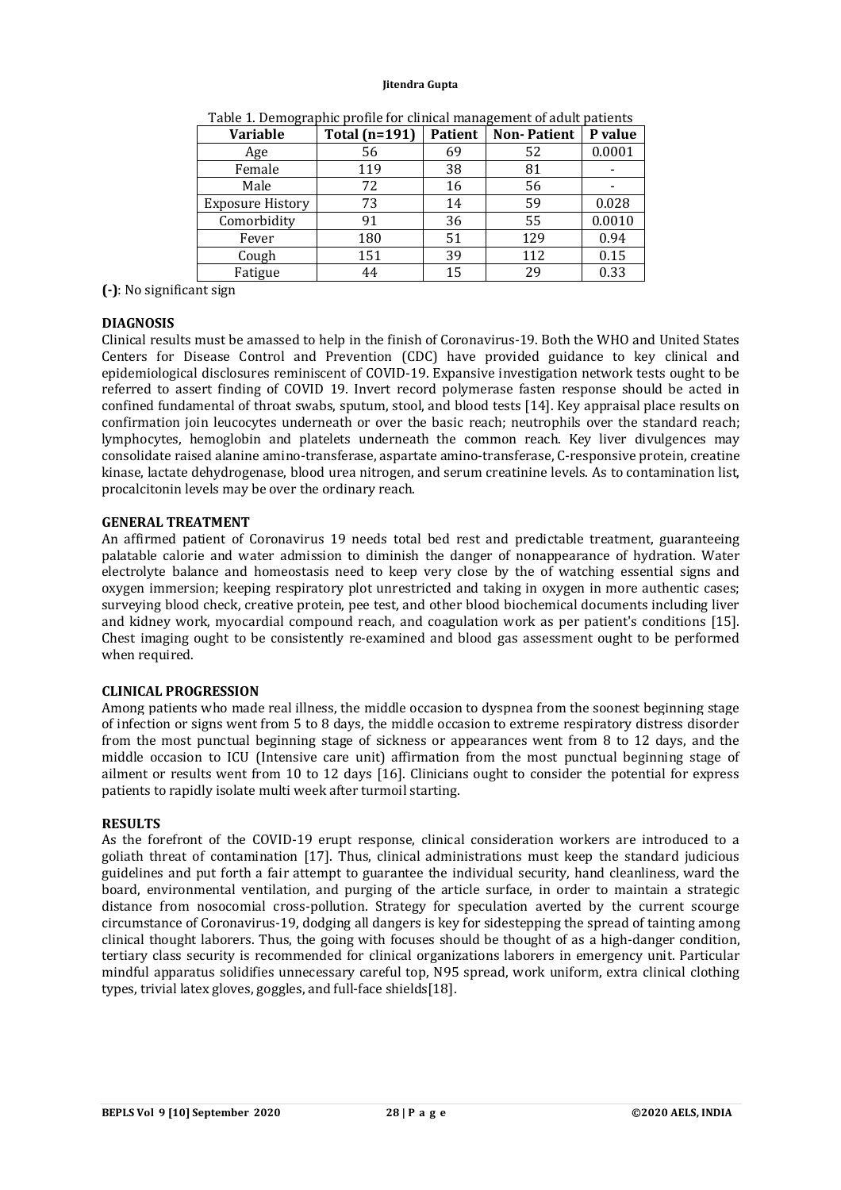| <b>Variable</b>         | <b>Total (n=191)</b> | <b>Patient</b> | <b>Non-Patient</b> | P value |
|-------------------------|----------------------|----------------|--------------------|---------|
| Age                     | 56                   | 69             | 52                 | 0.0001  |
| Female                  | 119                  | 38             | 81                 |         |
| Male                    | 72                   | 16             | 56                 |         |
| <b>Exposure History</b> | 73                   | 14             | 59                 | 0.028   |
| Comorbidity             | 91                   | 36             | 55                 | 0.0010  |
| Fever                   | 180                  | 51             | 129                | 0.94    |
| Cough                   | 151                  | 39             | 112                | 0.15    |
| Fatigue                 | 44                   | 15             | 29                 | 0.33    |

Table 1. Demographic profile for clinical management of adult patients

**(-)**: No significant sign

## **DIAGNOSIS**

Clinical results must be amassed to help in the finish of Coronavirus-19. Both the WHO and United States Centers for Disease Control and Prevention (CDC) have provided guidance to key clinical and epidemiological disclosures reminiscent of COVID-19. Expansive investigation network tests ought to be referred to assert finding of COVID 19. Invert record polymerase fasten response should be acted in confined fundamental of throat swabs, sputum, stool, and blood tests [14]. Key appraisal place results on confirmation join leucocytes underneath or over the basic reach; neutrophils over the standard reach; lymphocytes, hemoglobin and platelets underneath the common reach. Key liver divulgences may consolidate raised alanine amino-transferase, aspartate amino-transferase, C-responsive protein, creatine kinase, lactate dehydrogenase, blood urea nitrogen, and serum creatinine levels. As to contamination list, procalcitonin levels may be over the ordinary reach.

# **GENERAL TREATMENT**

An affirmed patient of Coronavirus 19 needs total bed rest and predictable treatment, guaranteeing palatable calorie and water admission to diminish the danger of nonappearance of hydration. Water electrolyte balance and homeostasis need to keep very close by the of watching essential signs and oxygen immersion; keeping respiratory plot unrestricted and taking in oxygen in more authentic cases; surveying blood check, creative protein, pee test, and other blood biochemical documents including liver and kidney work, myocardial compound reach, and coagulation work as per patient's conditions [15]. Chest imaging ought to be consistently re-examined and blood gas assessment ought to be performed when required.

#### **CLINICAL PROGRESSION**

Among patients who made real illness, the middle occasion to dyspnea from the soonest beginning stage of infection or signs went from 5 to 8 days, the middle occasion to extreme respiratory distress disorder from the most punctual beginning stage of sickness or appearances went from 8 to 12 days, and the middle occasion to ICU (Intensive care unit) affirmation from the most punctual beginning stage of ailment or results went from 10 to 12 days [16]. Clinicians ought to consider the potential for express patients to rapidly isolate multi week after turmoil starting.

#### **RESULTS**

As the forefront of the COVID-19 erupt response, clinical consideration workers are introduced to a goliath threat of contamination [17]. Thus, clinical administrations must keep the standard judicious guidelines and put forth a fair attempt to guarantee the individual security, hand cleanliness, ward the board, environmental ventilation, and purging of the article surface, in order to maintain a strategic distance from nosocomial cross-pollution. Strategy for speculation averted by the current scourge circumstance of Coronavirus-19, dodging all dangers is key for sidestepping the spread of tainting among clinical thought laborers. Thus, the going with focuses should be thought of as a high-danger condition, tertiary class security is recommended for clinical organizations laborers in emergency unit. Particular mindful apparatus solidifies unnecessary careful top, N95 spread, work uniform, extra clinical clothing types, trivial latex gloves, goggles, and full-face shields[18].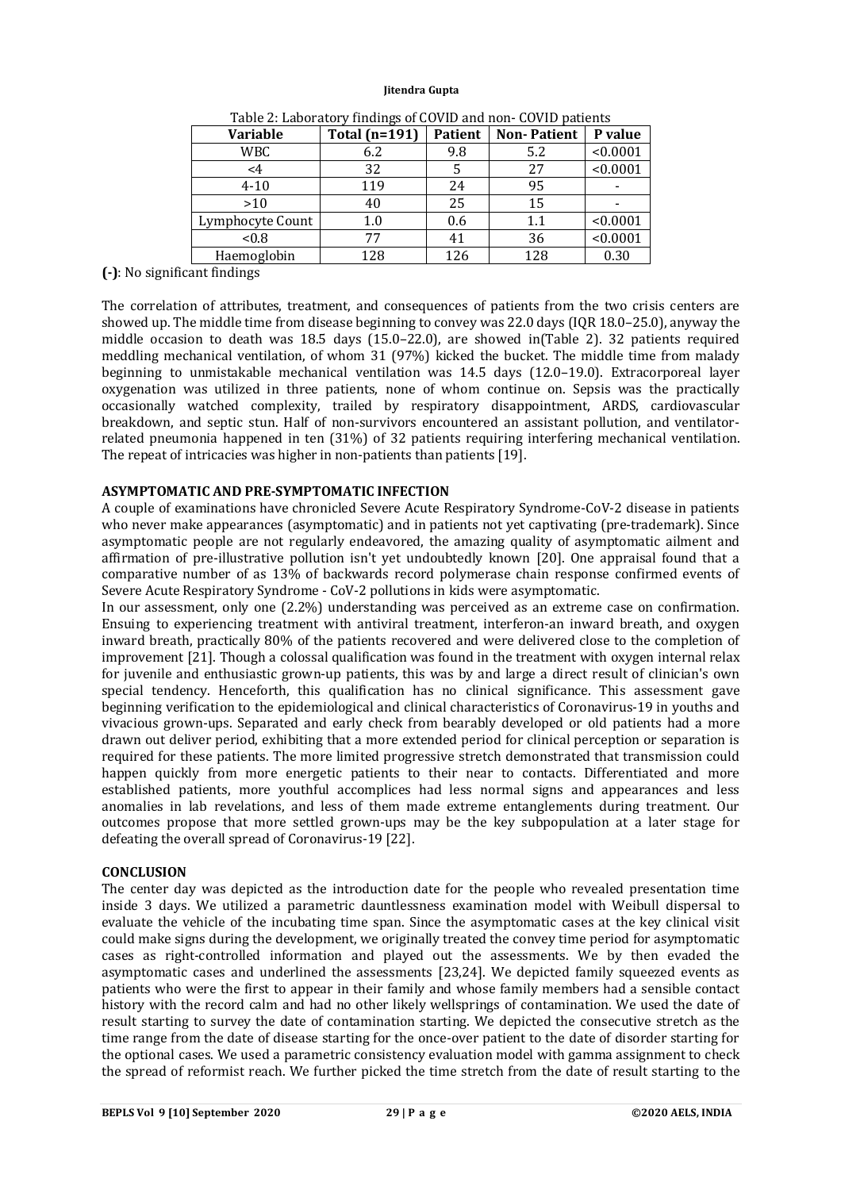| -0-              |                      |                |                    |          |  |
|------------------|----------------------|----------------|--------------------|----------|--|
| <b>Variable</b>  | <b>Total (n=191)</b> | <b>Patient</b> | <b>Non-Patient</b> | P value  |  |
| WBC              | 6.2                  | 9.8            | 5.2                | < 0.0001 |  |
| $\leq 4$         | 32                   |                | 27                 | < 0.0001 |  |
| $4 - 10$         | 119                  | 24             | 95                 |          |  |
| >10              | 40                   | 25             | 15                 |          |  |
| Lymphocyte Count | 1.0                  | 0.6            | 1.1                | < 0.0001 |  |
| < 0.8            | 77                   | 41             | 36                 | < 0.0001 |  |
| Haemoglobin      | 128                  | 126            | 128                | 0.30     |  |
|                  |                      |                |                    |          |  |

Table 2: Laboratory findings of COVID and non- COVID patients

**(-)**: No significant findings

The correlation of attributes, treatment, and consequences of patients from the two crisis centers are showed up. The middle time from disease beginning to convey was 22.0 days (IQR 18.0–25.0), anyway the middle occasion to death was 18.5 days (15.0–22.0), are showed in(Table 2). 32 patients required meddling mechanical ventilation, of whom 31 (97%) kicked the bucket. The middle time from malady beginning to unmistakable mechanical ventilation was 14.5 days (12.0–19.0). Extracorporeal layer oxygenation was utilized in three patients, none of whom continue on. Sepsis was the practically occasionally watched complexity, trailed by respiratory disappointment, ARDS, cardiovascular breakdown, and septic stun. Half of non-survivors encountered an assistant pollution, and ventilatorrelated pneumonia happened in ten (31%) of 32 patients requiring interfering mechanical ventilation. The repeat of intricacies was higher in non-patients than patients [19].

## **ASYMPTOMATIC AND PRE-SYMPTOMATIC INFECTION**

A couple of examinations have chronicled Severe Acute Respiratory Syndrome-CoV-2 disease in patients who never make appearances (asymptomatic) and in patients not yet captivating (pre-trademark). Since asymptomatic people are not regularly endeavored, the amazing quality of asymptomatic ailment and affirmation of pre-illustrative pollution isn't yet undoubtedly known [20]. One appraisal found that a comparative number of as 13% of backwards record polymerase chain response confirmed events of Severe Acute Respiratory Syndrome - CoV-2 pollutions in kids were asymptomatic.

In our assessment, only one (2.2%) understanding was perceived as an extreme case on confirmation. Ensuing to experiencing treatment with antiviral treatment, interferon-an inward breath, and oxygen inward breath, practically 80% of the patients recovered and were delivered close to the completion of improvement [21]. Though a colossal qualification was found in the treatment with oxygen internal relax for juvenile and enthusiastic grown-up patients, this was by and large a direct result of clinician's own special tendency. Henceforth, this qualification has no clinical significance. This assessment gave beginning verification to the epidemiological and clinical characteristics of Coronavirus-19 in youths and vivacious grown-ups. Separated and early check from bearably developed or old patients had a more drawn out deliver period, exhibiting that a more extended period for clinical perception or separation is required for these patients. The more limited progressive stretch demonstrated that transmission could happen quickly from more energetic patients to their near to contacts. Differentiated and more established patients, more youthful accomplices had less normal signs and appearances and less anomalies in lab revelations, and less of them made extreme entanglements during treatment. Our outcomes propose that more settled grown-ups may be the key subpopulation at a later stage for defeating the overall spread of Coronavirus-19 [22].

#### **CONCLUSION**

The center day was depicted as the introduction date for the people who revealed presentation time inside 3 days. We utilized a parametric dauntlessness examination model with Weibull dispersal to evaluate the vehicle of the incubating time span. Since the asymptomatic cases at the key clinical visit could make signs during the development, we originally treated the convey time period for asymptomatic cases as right-controlled information and played out the assessments. We by then evaded the asymptomatic cases and underlined the assessments [23,24]. We depicted family squeezed events as patients who were the first to appear in their family and whose family members had a sensible contact history with the record calm and had no other likely wellsprings of contamination. We used the date of result starting to survey the date of contamination starting. We depicted the consecutive stretch as the time range from the date of disease starting for the once-over patient to the date of disorder starting for the optional cases. We used a parametric consistency evaluation model with gamma assignment to check the spread of reformist reach. We further picked the time stretch from the date of result starting to the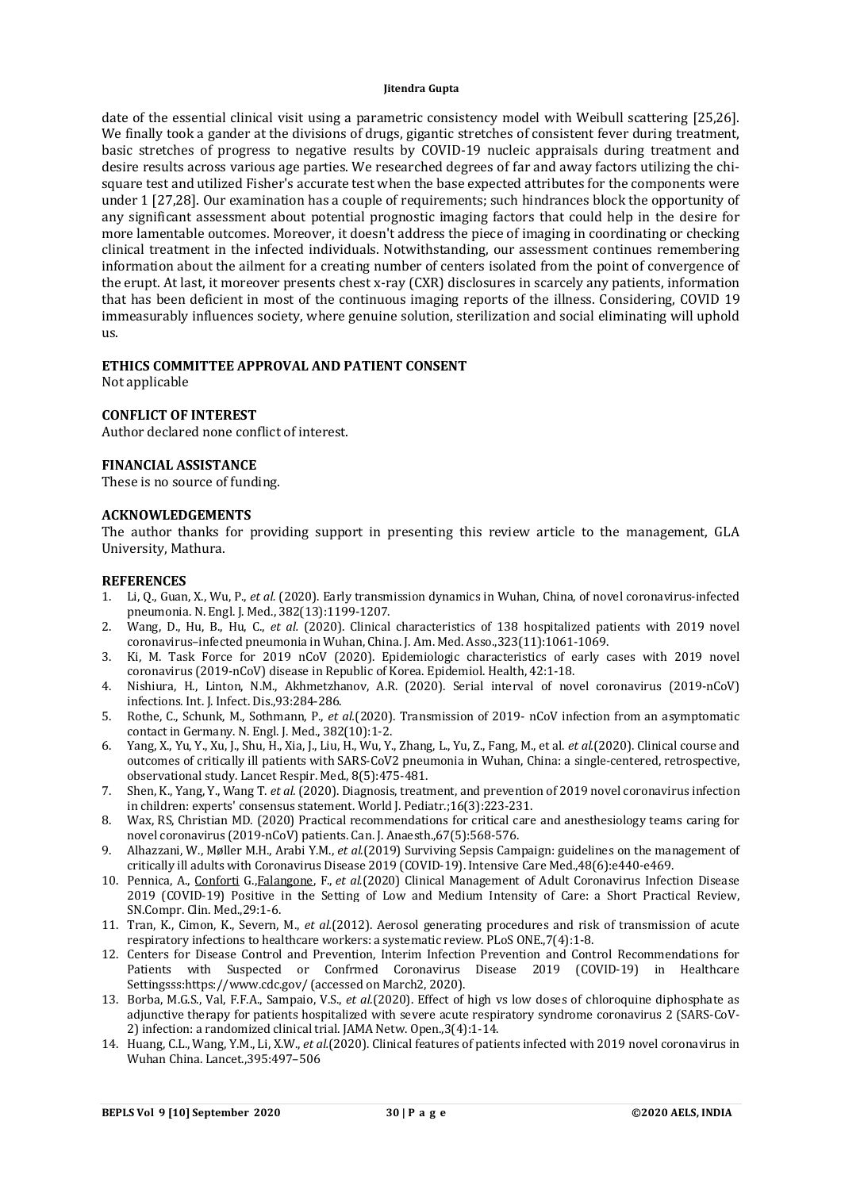date of the essential clinical visit using a parametric consistency model with Weibull scattering [25,26]. We finally took a gander at the divisions of drugs, gigantic stretches of consistent fever during treatment, basic stretches of progress to negative results by COVID-19 nucleic appraisals during treatment and desire results across various age parties. We researched degrees of far and away factors utilizing the chisquare test and utilized Fisher's accurate test when the base expected attributes for the components were under 1 [27,28]. Our examination has a couple of requirements; such hindrances block the opportunity of any significant assessment about potential prognostic imaging factors that could help in the desire for more lamentable outcomes. Moreover, it doesn't address the piece of imaging in coordinating or checking clinical treatment in the infected individuals. Notwithstanding, our assessment continues remembering information about the ailment for a creating number of centers isolated from the point of convergence of the erupt. At last, it moreover presents chest x-ray (CXR) disclosures in scarcely any patients, information that has been deficient in most of the continuous imaging reports of the illness. Considering, COVID 19 immeasurably influences society, where genuine solution, sterilization and social eliminating will uphold us.

## **ETHICS COMMITTEE APPROVAL AND PATIENT CONSENT**

Not applicable

#### **CONFLICT OF INTEREST**

Author declared none conflict of interest.

#### **FINANCIAL ASSISTANCE**

These is no source of funding.

#### **ACKNOWLEDGEMENTS**

The author thanks for providing support in presenting this review article to the management, GLA University, Mathura.

#### **REFERENCES**

- 1. Li, Q., Guan, X., Wu, P., *et al.* (2020). Early transmission dynamics in Wuhan, China, of novel coronavirus-infected pneumonia. N. Engl. J. Med., 382(13):1199-1207.
- 2. Wang, D., Hu, B., Hu, C., *et al.* (2020). Clinical characteristics of 138 hospitalized patients with 2019 novel coronavirus–infected pneumonia in Wuhan, China. J. Am. Med. Asso.,323(11):1061-1069.
- 3. Ki, M. Task Force for 2019 nCoV (2020). Epidemiologic characteristics of early cases with 2019 novel coronavirus (2019-nCoV) disease in Republic of Korea. Epidemiol. Health, 42:1-18.
- 4. Nishiura, H., Linton, N.M., Akhmetzhanov, A.R. (2020). Serial interval of novel coronavirus (2019-nCoV) infections. Int. J. Infect. Dis.,93:284-286.
- 5. Rothe, C., Schunk, M., Sothmann, P., *et al.*(2020). Transmission of 2019- nCoV infection from an asymptomatic contact in Germany. N. Engl. J. Med., 382(10):1-2.
- 6. Yang, X., Yu, Y., Xu, J., Shu, H., Xia, J., Liu, H., Wu, Y., Zhang, L., Yu, Z., Fang, M., et al. *et al.*(2020). Clinical course and outcomes of critically ill patients with SARS-CoV2 pneumonia in Wuhan, China: a single-centered, retrospective, observational study. Lancet Respir. Med., 8(5):475-481.
- 7. Shen, K., Yang, Y., Wang T. *et al.* (2020). Diagnosis, treatment, and prevention of 2019 novel coronavirus infection in children: experts' consensus statement. World J. Pediatr.;16(3):223-231.
- 8. Wax, RS, Christian MD. (2020) Practical recommendations for critical care and anesthesiology teams caring for novel coronavirus (2019-nCoV) patients. Can. J. Anaesth.,67(5):568-576.
- 9. Alhazzani, W., Møller M.H., Arabi Y.M., *et al.*(2019) Surviving Sepsis Campaign: guidelines on the management of critically ill adults with Coronavirus Disease 2019 (COVID-19). Intensive Care Med.,48(6):e440-e469.
- 10. Pennica, A., Conforti G.,Falangone, F., *et al.*(2020) Clinical Management of Adult Coronavirus Infection Disease 2019 (COVID-19) Positive in the Setting of Low and Medium Intensity of Care: a Short Practical Review, SN.Compr. Clin. Med.,29:1-6.
- 11. Tran, K., Cimon, K., Severn, M., *et al.*(2012). Aerosol generating procedures and risk of transmission of acute respiratory infections to healthcare workers: a systematic review. PLoS ONE.,7(4):1-8.
- 12. Centers for Disease Control and Prevention, Interim Infection Prevention and Control Recommendations for Patients with Suspected or Confrmed Coronavirus Disease 2019 (COVID-19) in Healthcare Settingsss[:https://www.cdc.gov/](https://www.cdc.gov/) (accessed on March2, 2020).
- 13. Borba, M.G.S., Val, F.F.A., Sampaio, V.S., *et al.*(2020). Effect of high vs low doses of chloroquine diphosphate as adjunctive therapy for patients hospitalized with severe acute respiratory syndrome coronavirus 2 (SARS-CoV-2) infection: a randomized clinical trial. JAMA Netw. Open.,3(4):1-14.
- 14. Huang, C.L., Wang, Y.M., Li, X.W., *et al.*(2020). Clinical features of patients infected with 2019 novel coronavirus in Wuhan China. Lancet.,395:497–506